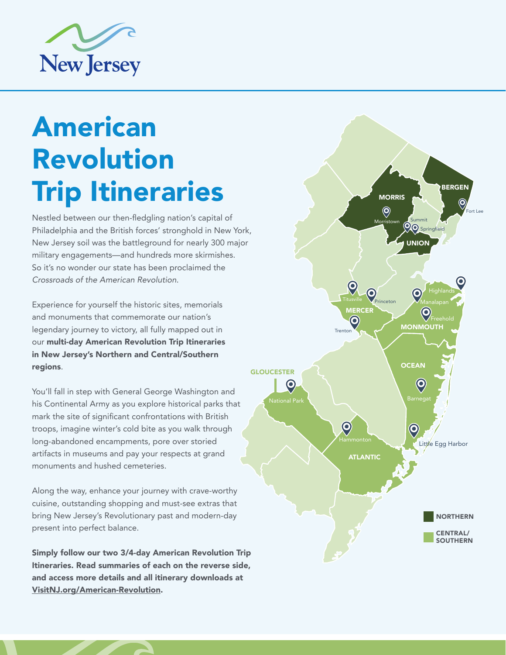

# American Revolution Trip Itineraries

Nestled between our then-fledgling nation's capital of Philadelphia and the British forces' stronghold in New York, New Jersey soil was the battleground for nearly 300 major military engagements—and hundreds more skirmishes. So it's no wonder our state has been proclaimed the *Crossroads of the American Revolution*.

Experience for yourself the historic sites, memorials and monuments that commemorate our nation's legendary journey to victory, all fully mapped out in our multi-day American Revolution Trip Itineraries in New Jersey's Northern and Central/Southern regions.

You'll fall in step with General George Washington and his Continental Army as you explore historical parks that mark the site of significant confrontations with British troops, imagine winter's cold bite as you walk through long-abandoned encampments, pore over storied artifacts in museums and pay your respects at grand monuments and hushed cemeteries.

Along the way, enhance your journey with crave-worthy cuisine, outstanding shopping and must-see extras that bring New Jersey's Revolutionary past and modern-day present into perfect balance.

Simply follow our two 3/4-day American Revolution Trip Itineraries. Read summaries of each on the reverse side, and access more details and all itinerary downloads at [VisitNJ.org/American-Revolution](http://www.VisitNJ.org/American-Revolution).